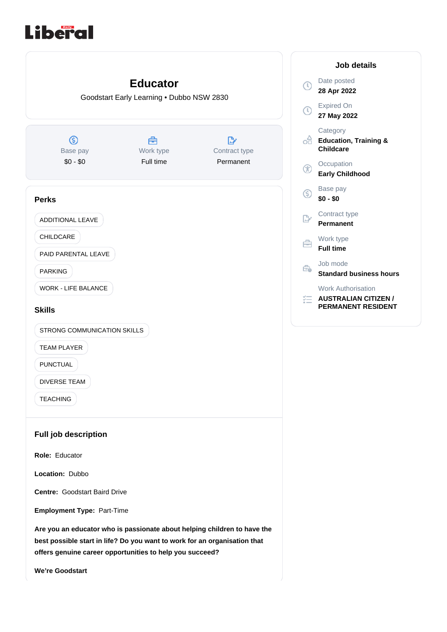# Liberal

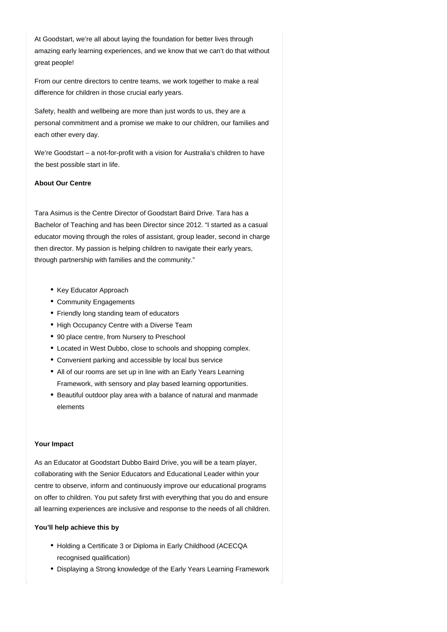At Goodstart, we're all about laying the foundation for better lives through amazing early learning experiences, and we know that we can't do that without great people!

From our centre directors to centre teams, we work together to make a real difference for children in those crucial early years.

Safety, health and wellbeing are more than just words to us, they are a personal commitment and a promise we make to our children, our families and each other every day.

We're Goodstart – a not-for-profit with a vision for Australia's children to have the best possible start in life.

## **About Our Centre**

Tara Asimus is the Centre Director of Goodstart Baird Drive. Tara has a Bachelor of Teaching and has been Director since 2012. "I started as a casual educator moving through the roles of assistant, group leader, second in charge then director. My passion is helping children to navigate their early years, through partnership with families and the community."

- Key Educator Approach
- Community Engagements
- Friendly long standing team of educators
- High Occupancy Centre with a Diverse Team
- 90 place centre, from Nursery to Preschool
- Located in West Dubbo, close to schools and shopping complex.
- Convenient parking and accessible by local bus service
- All of our rooms are set up in line with an Early Years Learning Framework, with sensory and play based learning opportunities.
- Beautiful outdoor play area with a balance of natural and manmade elements

#### **Your Impact**

As an Educator at Goodstart Dubbo Baird Drive, you will be a team player, collaborating with the Senior Educators and Educational Leader within your centre to observe, inform and continuously improve our educational programs on offer to children. You put safety first with everything that you do and ensure all learning experiences are inclusive and response to the needs of all children.

#### **You'll help achieve this by**

- Holding a Certificate 3 or Diploma in Early Childhood (ACECQA recognised qualification)
- Displaying a Strong knowledge of the Early Years Learning Framework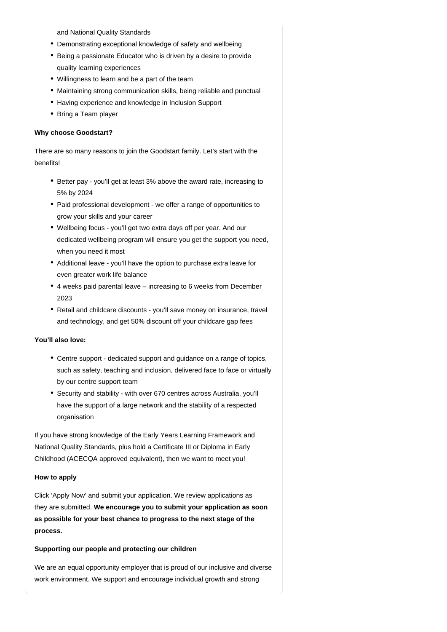and National Quality Standards

- Demonstrating exceptional knowledge of safety and wellbeing
- Being a passionate Educator who is driven by a desire to provide quality learning experiences
- Willingness to learn and be a part of the team
- Maintaining strong communication skills, being reliable and punctual
- Having experience and knowledge in Inclusion Support
- Bring a Team player

### **Why choose Goodstart?**

There are so many reasons to join the Goodstart family. Let's start with the benefits!

- Better pay you'll get at least 3% above the award rate, increasing to 5% by 2024
- Paid professional development we offer a range of opportunities to grow your skills and your career
- Wellbeing focus you'll get two extra days off per year. And our dedicated wellbeing program will ensure you get the support you need, when you need it most
- Additional leave you'll have the option to purchase extra leave for even greater work life balance
- 4 weeks paid parental leave increasing to 6 weeks from December 2023
- Retail and childcare discounts you'll save money on insurance, travel and technology, and get 50% discount off your childcare gap fees

# **You'll also love:**

- Centre support dedicated support and guidance on a range of topics, such as safety, teaching and inclusion, delivered face to face or virtually by our centre support team
- Security and stability with over 670 centres across Australia, you'll have the support of a large network and the stability of a respected organisation

If you have strong knowledge of the Early Years Learning Framework and National Quality Standards, plus hold a Certificate III or Diploma in Early Childhood (ACECQA approved equivalent), then we want to meet you!

#### **How to apply**

Click 'Apply Now' and submit your application. We review applications as they are submitted. **We encourage you to submit your application as soon as possible for your best chance to progress to the next stage of the process.**

#### **Supporting our people and protecting our children**

We are an equal opportunity employer that is proud of our inclusive and diverse work environment. We support and encourage individual growth and strong